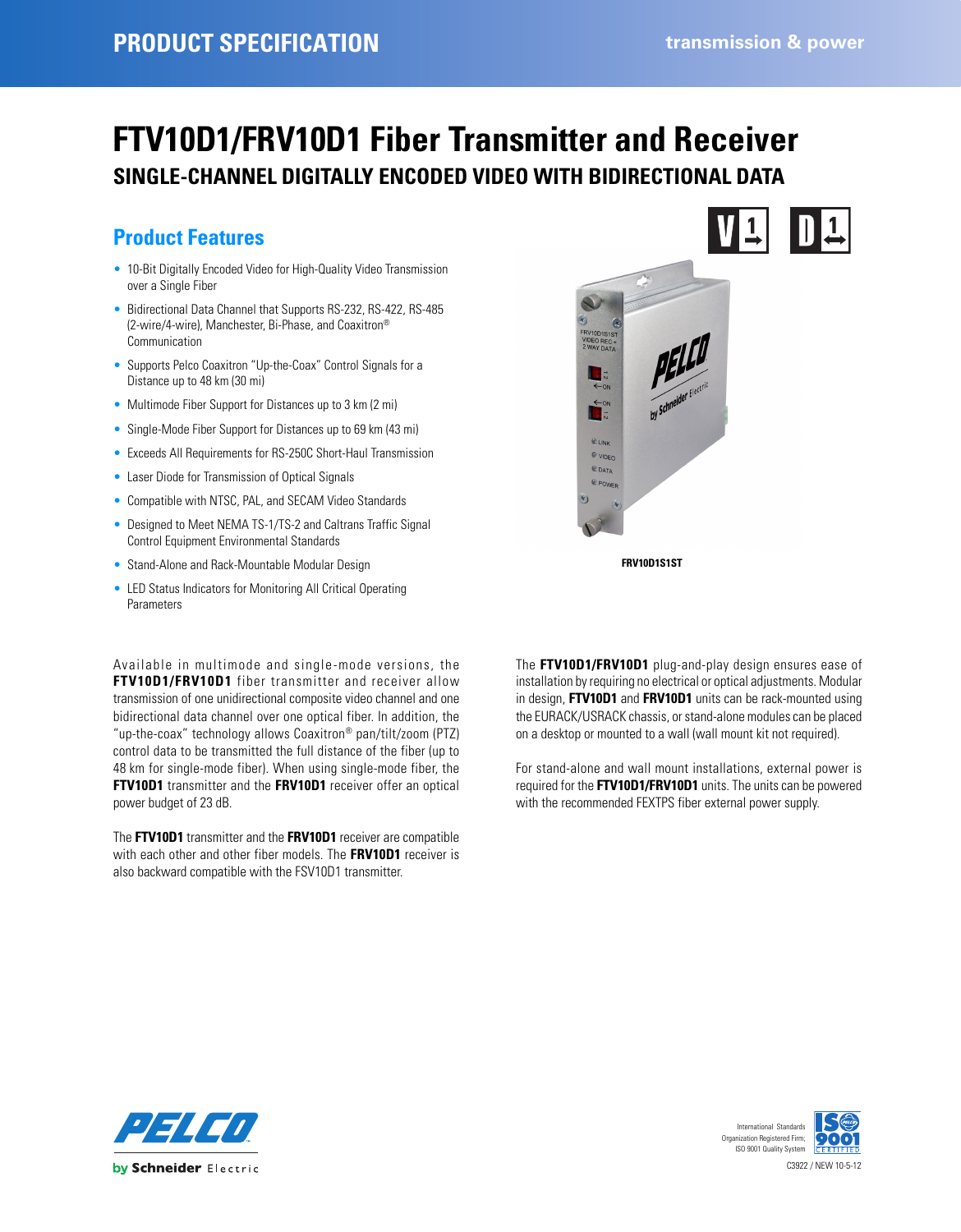# **FTV10D1/FRV10D1 Fiber Transmitter and Receiver SINGLE-CHANNEL DIGITALLY ENCODED VIDEO WITH BIDIRECTIONAL DATA**

## **Product Features**

- 10-Bit Digitally Encoded Video for High-Quality Video Transmission over a Single Fiber
- Bidirectional Data Channel that Supports RS-232, RS-422, RS-485 (2-wire/4-wire), Manchester, Bi-Phase, and Coaxitron® Communication
- Supports Pelco Coaxitron "Up-the-Coax" Control Signals for a Distance up to 48 km (30 mi)
- Multimode Fiber Support for Distances up to 3 km (2 mi)
- Single-Mode Fiber Support for Distances up to 69 km (43 mi)
- Exceeds All Requirements for RS-250C Short-Haul Transmission
- Laser Diode for Transmission of Optical Signals
- Compatible with NTSC, PAL, and SECAM Video Standards
- Designed to Meet NEMA TS-1/TS-2 and Caltrans Traffic Signal Control Equipment Environmental Standards
- Stand-Alone and Rack-Mountable Modular Design
- LED Status Indicators for Monitoring All Critical Operating Parameters

Available in multimode and single-mode versions, the **FTV10D1/FRV10D1** fiber transmitter and receiver allow transmission of one unidirectional composite video channel and one bidirectional data channel over one optical fiber. In addition, the "up-the-coax" technology allows Coaxitron® pan/tilt/zoom (PTZ) control data to be transmitted the full distance of the fiber (up to 48 km for single-mode fiber). When using single-mode fiber, the **FTV10D1** transmitter and the **FRV10D1** receiver offer an optical power budget of 23 dB.

The **FTV10D1** transmitter and the **FRV10D1** receiver are compatible with each other and other fiber models. The **FRV10D1** receiver is also backward compatible with the FSV10D1 transmitter.



The **FTV10D1/FRV10D1** plug-and-play design ensures ease of installation by requiring no electrical or optical adjustments. Modular in design, **FTV10D1** and **FRV10D1** units can be rack-mounted using the EURACK/USRACK chassis, or stand-alone modules can be placed on a desktop or mounted to a wall (wall mount kit not required).

For stand-alone and wall mount installations, external power is required for the **FTV10D1/FRV10D1** units. The units can be powered with the recommended FEXTPS fiber external power supply.